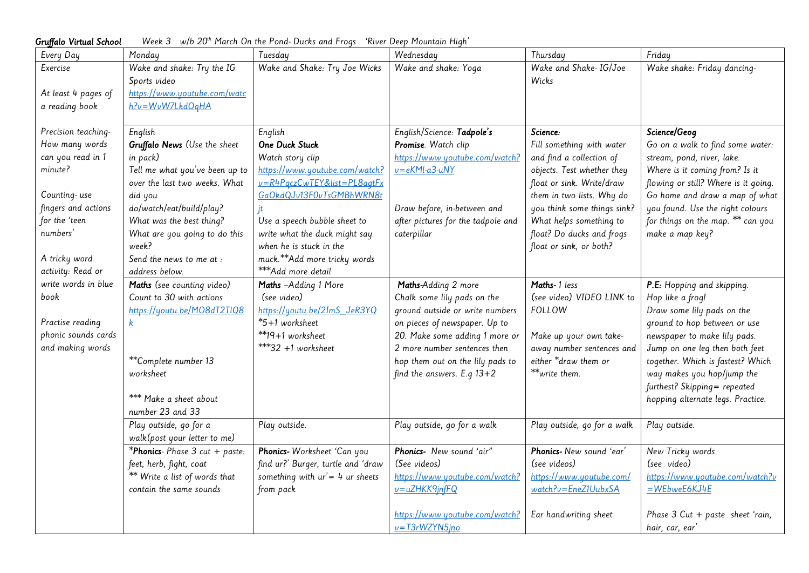Gruffalo Virtual School Week 3  $w/b$  20<sup>th</sup> March On the Pond- Ducks and Frogs 'River Deep Mountain High'

| Every Day           | Monday                                                          | Tuesday                                                       | Wednesday                          | Thursday                                                | Friday                                                                 |
|---------------------|-----------------------------------------------------------------|---------------------------------------------------------------|------------------------------------|---------------------------------------------------------|------------------------------------------------------------------------|
| Exercise            | Wake and shake: Try the IG<br>Sports video                      | Wake and Shake: Try Joe Wicks                                 | Wake and shake: Yoga               | Wake and Shake- IG/Joe<br>Wicks                         | Wake shake: Friday dancing-                                            |
| At least 4 pages of | https://www.youtube.com/watc                                    |                                                               |                                    |                                                         |                                                                        |
| a reading book      | h?v=WvW7LkdOqHA                                                 |                                                               |                                    |                                                         |                                                                        |
| Precision teaching- | English                                                         | English                                                       | English/Science: Tadpole's         | Science:                                                | Science/Geog                                                           |
| How many words      | Gruffalo News (Use the sheet                                    | One Duck Stuck                                                | Promise. Watch clip                | Fill something with water                               | Go on a walk to find some water:                                       |
| can you read in 1   | in pack)                                                        | Watch story clip                                              | https://www.youtube.com/watch?     | and find a collection of                                | stream, pond, river, lake.                                             |
| minute?             | Tell me what you've been up to<br>over the last two weeks. What | https://www.youtube.com/watch?<br>v=R4PqczCwTEY&list=PL8agtFx | $v = eKMl - a3 - uNY$              | objects. Test whether they<br>float or sink. Write/draw | Where is it coming from? Is it<br>flowing or still? Where is it going. |
| Counting-use        | did you                                                         | GaOkdQJv13F0vTsGMBhWRN8t                                      |                                    | them in two lists. Why do                               | Go home and draw a map of what                                         |
| fingers and actions | do/watch/eat/build/play?                                        | įt                                                            | Draw before, in-between and        | you think some things sink?                             | you found. Use the right colours                                       |
| for the 'teen       | What was the best thing?                                        | Use a speech bubble sheet to                                  | after pictures for the tadpole and | What helps something to                                 | for things on the map. ** can you                                      |
| numbers'            | What are you going to do this                                   | write what the duck might say                                 | caterpillar                        | float? Do ducks and frogs                               | make a map key?                                                        |
|                     | week?                                                           | when he is stuck in the                                       |                                    | float or sink, or both?                                 |                                                                        |
| A tricky word       | Send the news to me at :                                        | muck.**Add more tricky words                                  |                                    |                                                         |                                                                        |
| activity: Read or   | address below.                                                  | ***Add more detail                                            |                                    |                                                         |                                                                        |
| write words in blue | Maths (see counting video)                                      | Maths -Adding 1 More                                          | Maths-Adding 2 more                | Maths-1 less                                            | P.E: Hopping and skipping.                                             |
| book                | Count to 30 with actions                                        | (see video)                                                   | Chalk some lily pads on the        | (see video) VIDEO LINK to                               | Hop like a frog!                                                       |
|                     | https://youtu.be/M08dT2TIQ8                                     | https://youtu.be/2ImS_JeR3YQ                                  | ground outside or write numbers    | FOLLOW                                                  | Draw some lily pads on the                                             |
| Practise reading    |                                                                 | *5+1 worksheet                                                | on pieces of newspaper. Up to      |                                                         | ground to hop between or use                                           |
| phonic sounds cards |                                                                 | **19+1 worksheet                                              | 20. Make some adding 1 more or     | Make up your own take-                                  | newspaper to make lily pads.                                           |
| and making words    |                                                                 | $***32 +1$ worksheet                                          | 2 more number sentences then       | away number sentences and                               | Jump on one leg then both feet                                         |
|                     | **Complete number 13                                            |                                                               | hop them out on the lily pads to   | either *draw them or                                    | together. Which is fastest? Which                                      |
|                     | worksheet                                                       |                                                               | find the answers. E.q $13+2$       | **write them.                                           | way makes you hop/jump the                                             |
|                     |                                                                 |                                                               |                                    |                                                         | furthest? Skipping= repeated                                           |
|                     | *** Make a sheet about                                          |                                                               |                                    |                                                         | hopping alternate legs. Practice.                                      |
|                     | number 23 and 33                                                |                                                               |                                    |                                                         |                                                                        |
|                     | Play outside, go for a<br>walk (post your letter to me)         | Play outside.                                                 | Play outside, go for a walk        | Play outside, go for a walk                             | Play outside.                                                          |
|                     | *Phonics- Phase 3 cut + paste:                                  | Phonics- Worksheet 'Can you                                   | Phonics- New sound 'air"           | Phonics- New sound 'ear'                                | New Tricky words                                                       |
|                     | feet, herb, fight, coat                                         | find ur?' Burger, turtle and 'draw                            | (See videos)                       | (see videos)                                            | (see video)                                                            |
|                     | ** Write a list of words that                                   | something with $ur' = 4$ ur sheets                            | https://www.youtube.com/watch?     | https://www.youtube.com/                                | https://www.youtube.com/watch?v                                        |
|                     | contain the same sounds                                         | from pack                                                     | v=uZHKK9jnfFQ                      | $watch?v = EneZ1UubxSA$                                 | $=$ WEbweE6KJ4E                                                        |
|                     |                                                                 |                                                               | https://www.youtube.com/watch?     | Ear handwriting sheet                                   | Phase 3 Cut + paste sheet 'rain,                                       |
|                     |                                                                 |                                                               | v=T3rWZYN5jno                      |                                                         | hair, car, ear'                                                        |